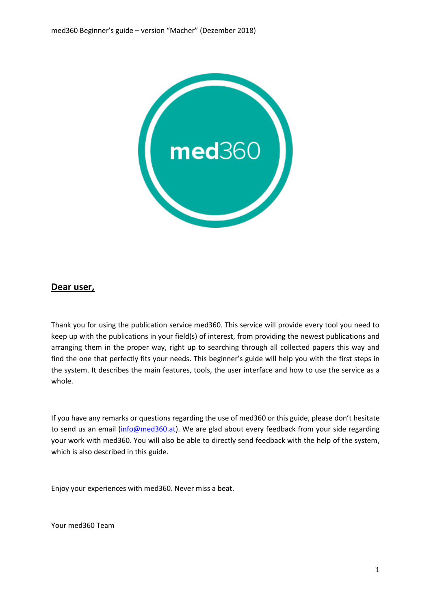

## **Dear user,**

Thank you for using the publication service med360. This service will provide every tool you need to keep up with the publications in your field(s) of interest, from providing the newest publications and arranging them in the proper way, right up to searching through all collected papers this way and find the one that perfectly fits your needs. This beginner's guide will help you with the first steps in the system. It describes the main features, tools, the user interface and how to use the service as a whole.

If you have any remarks or questions regarding the use of med360 or this guide, please don't hesitate to send us an email [\(info@med360.at\)](mailto:info@med360.at). We are glad about every feedback from your side regarding your work with med360. You will also be able to directly send feedback with the help of the system, which is also described in this guide.

Enjoy your experiences with med360. Never miss a beat.

Your med360 Team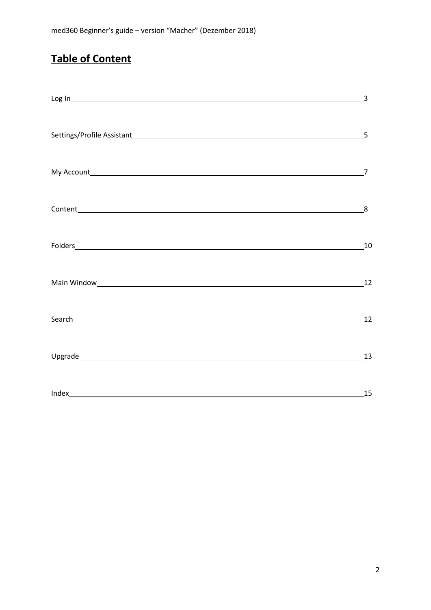## **Table of Content**

| Log In the contract of the contract of the contract of the contract of the contract of the contract of the contract of the contract of the contract of the contract of the contract of the contract of the contract of the con | 3              |
|--------------------------------------------------------------------------------------------------------------------------------------------------------------------------------------------------------------------------------|----------------|
|                                                                                                                                                                                                                                |                |
|                                                                                                                                                                                                                                | $\overline{7}$ |
|                                                                                                                                                                                                                                |                |
|                                                                                                                                                                                                                                |                |
| Main Window 12                                                                                                                                                                                                                 |                |
| Search 12                                                                                                                                                                                                                      |                |
|                                                                                                                                                                                                                                | 13             |
|                                                                                                                                                                                                                                | 15             |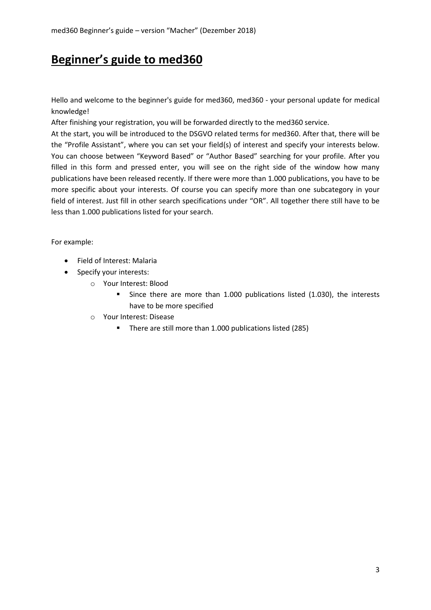## **Beginner's guide to med360**

Hello and welcome to the beginner's guide for med360, med360 - your personal update for medical knowledge!

After finishing your registration, you will be forwarded directly to the med360 service.

At the start, you will be introduced to the DSGVO related terms for med360. After that, there will be the "Profile Assistant", where you can set your field(s) of interest and specify your interests below. You can choose between "Keyword Based" or "Author Based" searching for your profile. After you filled in this form and pressed enter, you will see on the right side of the window how many publications have been released recently. If there were more than 1.000 publications, you have to be more specific about your interests. Of course you can specify more than one subcategory in your field of interest. Just fill in other search specifications under "OR". All together there still have to be less than 1.000 publications listed for your search.

For example:

- Field of Interest: Malaria
- Specify your interests:
	- o Your Interest: Blood
		- Since there are more than 1.000 publications listed (1.030), the interests have to be more specified
	- o Your Interest: Disease
		- There are still more than 1.000 publications listed (285)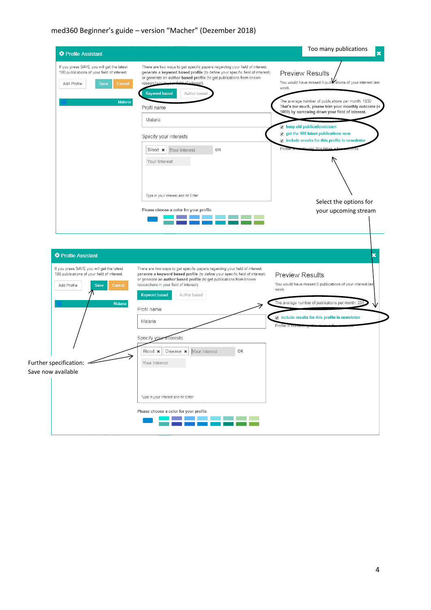## med360 Beginner's guide – version "Macher" (Dezember 2018)

| <b>*</b> Profile Assistant                                                                                                                 |                                                                                                                                                                                                                                                                                                                                         | Too many publications                                                                                                                                                                                                                                          |
|--------------------------------------------------------------------------------------------------------------------------------------------|-----------------------------------------------------------------------------------------------------------------------------------------------------------------------------------------------------------------------------------------------------------------------------------------------------------------------------------------|----------------------------------------------------------------------------------------------------------------------------------------------------------------------------------------------------------------------------------------------------------------|
| If you press SAVE you will get the latest<br>100 publications of your field of interest<br>Add Profile<br>Save<br>Cancel<br><b>Malaria</b> | There are two ways to get specific papers regarding your field of interest:<br>generate a keyword based profile (to define your specific field of interest)<br>or generate an author based profile (to get publications from known<br>r field of interest).<br>researchers in up<br><b>Keyword based</b><br>Author based<br>Profil name | <b>Preview Results</b><br>You would have missed 0 publications of your interest last<br>week.<br>The average number of publications per month: 1030<br>That's too much, please trim your monthly outcome (<<br>1000) by narrowing down your field of interest. |
|                                                                                                                                            | Malaria                                                                                                                                                                                                                                                                                                                                 | keep old publicationstream                                                                                                                                                                                                                                     |
|                                                                                                                                            | Specify your interests                                                                                                                                                                                                                                                                                                                  | get the 100 latest publications now<br>$\sqrt{ }$ include results for this profile in newsletter                                                                                                                                                               |
|                                                                                                                                            | <b>OR</b><br>Blood <b>x</b><br>Your Interest<br>Your Interest                                                                                                                                                                                                                                                                           | deving this takes a fe<br>Profile <sup>1</sup>                                                                                                                                                                                                                 |
|                                                                                                                                            |                                                                                                                                                                                                                                                                                                                                         |                                                                                                                                                                                                                                                                |
|                                                                                                                                            | Type in your interest and hit Enter                                                                                                                                                                                                                                                                                                     | Select the options for                                                                                                                                                                                                                                         |
|                                                                                                                                            | Please choose a color for your profile                                                                                                                                                                                                                                                                                                  | your upcoming stream                                                                                                                                                                                                                                           |
| <b>*</b> Profile Assistant                                                                                                                 |                                                                                                                                                                                                                                                                                                                                         |                                                                                                                                                                                                                                                                |
| If you press SAVE you will get the latest<br>100 publications of your field of interest<br>Add Profile<br>Cancel<br>Save                   | There are two ways to get specific papers regarding your field of interest:<br>generate a keyword based profile (to define your specific field of interest)<br>or generate an author based profile (to get publications from known<br>researchers in your field of interest).                                                           | <b>Preview Results</b>                                                                                                                                                                                                                                         |
|                                                                                                                                            | <b>Keyword based</b><br>Author based                                                                                                                                                                                                                                                                                                    | week.                                                                                                                                                                                                                                                          |
| <b>Malaria</b>                                                                                                                             | Profil name                                                                                                                                                                                                                                                                                                                             | The average number of publications per month: 28                                                                                                                                                                                                               |
|                                                                                                                                            | Malaria                                                                                                                                                                                                                                                                                                                                 | n include results for this profile in newsletter                                                                                                                                                                                                               |
|                                                                                                                                            | Specify your interests                                                                                                                                                                                                                                                                                                                  | You would have missed 0 publications of your interest last<br>Profile is remue.                                                                                                                                                                                |
|                                                                                                                                            | Blood *<br>Disease <b>x</b><br>Your Interest<br>0R                                                                                                                                                                                                                                                                                      |                                                                                                                                                                                                                                                                |
| Further specification: ~<br>Save now available                                                                                             | Your Interest                                                                                                                                                                                                                                                                                                                           |                                                                                                                                                                                                                                                                |
|                                                                                                                                            | Type in your interest and hit Enter                                                                                                                                                                                                                                                                                                     |                                                                                                                                                                                                                                                                |
|                                                                                                                                            | Please choose a color for your profile                                                                                                                                                                                                                                                                                                  |                                                                                                                                                                                                                                                                |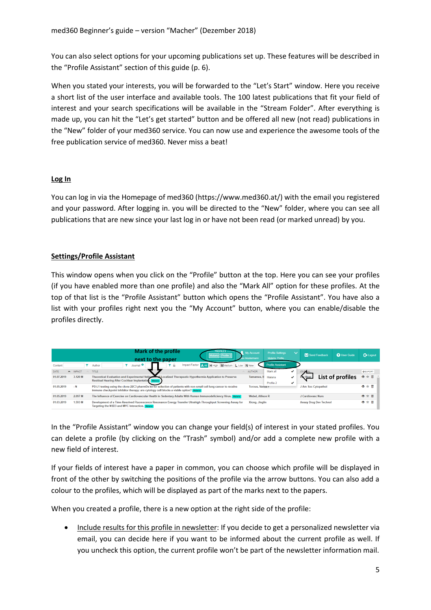You can also select options for your upcoming publications set up. These features will be described in the "Profile Assistant" section of this guide (p. 6).

When you stated your interests, you will be forwarded to the "Let's Start" window. Here you receive a short list of the user interface and available tools. The 100 latest publications that fit your field of interest and your search specifications will be available in the "Stream Folder". After everything is made up, you can hit the "Let's get started" button and be offered all new (not read) publications in the "New" folder of your med360 service. You can now use and experience the awesome tools of the free publication service of med360. Never miss a beat!

### **Log In**

You can log in via the Homepage of med360 (https://www.med360.at/) with the email you registered and your password. After logging in. you will be directed to the "New" folder, where you can see all publications that are new since your last log in or have not been read (or marked unread) by you.

## **Settings/Profile Assistant**

This window opens when you click on the "Profile" button at the top. Here you can see your profiles (if you have enabled more than one profile) and also the "Mark All" option for these profiles. At the top of that list is the "Profile Assistant" button which opens the "Profile Assistant". You have also a list with your profiles right next you the "My Account" button, where you can enable/disable the profiles directly.

|                                        | <b>Mark of the profile</b><br>My Account<br>lax Mustermann<br>next to the paper                                                                                                                                                         | Profile Settings<br>w.<br>Malaria, Profile | X Send Feedback               | <b>O</b> User Guide | <b>E</b> Logout |
|----------------------------------------|-----------------------------------------------------------------------------------------------------------------------------------------------------------------------------------------------------------------------------------------|--------------------------------------------|-------------------------------|---------------------|-----------------|
| Content                                | Impact Factor A All<br>H High MMedium L Low<br>Journal <sup>O</sup><br>N New<br>Author<br>÷                                                                                                                                             | <b>Profile Assistant</b>                   |                               |                     |                 |
| <b>DATE</b><br><b>IMPACT</b><br>$\sim$ | <b>TITLE</b><br><b>AUTHOR</b>                                                                                                                                                                                                           | Mark all<br>✔                              | <b>JOURNAL</b>                |                     | <b>Q</b> EXPORT |
| 3.120 M<br>01.07.2019                  | Theoretical Evaluation and Experimental Validation of Localized Therapeutic Hypothermia Application to Preserve<br>Tamames, II Malaria<br>Residual Hearing After Cochlear Implantation. Malaria                                         | $\checkmark$<br>Profile 2<br>✔             |                               | List of profiles    | ◎ ☆ 前           |
| $- N$<br>01.05.2019                    | PD-L1 testing using the clone 22C3 pharmDx kit for selection of patients with non-small cell lung cancer to receive<br><b>Torous, Vanga F</b><br>immune checkpoint inhibitor therapy: are cytology cell blocks a viable option? Malaria |                                            | J Am Soc Cytopathol           |                     | ◎☆苗             |
| 2.097 M<br>01.05.2019                  | The Influence of Exercise on Cardiovascular Health in Sedentary Adults With Human Immunodeficiency Virus. Mataria<br><b>Webel, Allison R</b>                                                                                            |                                            | J Cardiovasc Nurs             |                     | ◎☆茴             |
| 01.03.2019<br>1.593 M                  | Development of a Time-Resolved Fluorescence Resonance Energy Transfer Ultrahigh-Throughput Screening Assay for<br>Xiong, Jinglin<br>Targeting the NSD3 and MYC Interaction. Malaria                                                     |                                            | <b>Assay Drug Dev Technol</b> |                     | ◎☆苗             |

In the "Profile Assistant" window you can change your field(s) of interest in your stated profiles. You can delete a profile (by clicking on the "Trash" symbol) and/or add a complete new profile with a new field of interest.

If your fields of interest have a paper in common, you can choose which profile will be displayed in front of the other by switching the positions of the profile via the arrow buttons. You can also add a colour to the profiles, which will be displayed as part of the marks next to the papers.

When you created a profile, there is a new option at the right side of the profile:

• Include results for this profile in newsletter: If you decide to get a personalized newsletter via email, you can decide here if you want to be informed about the current profile as well. If you uncheck this option, the current profile won't be part of the newsletter information mail.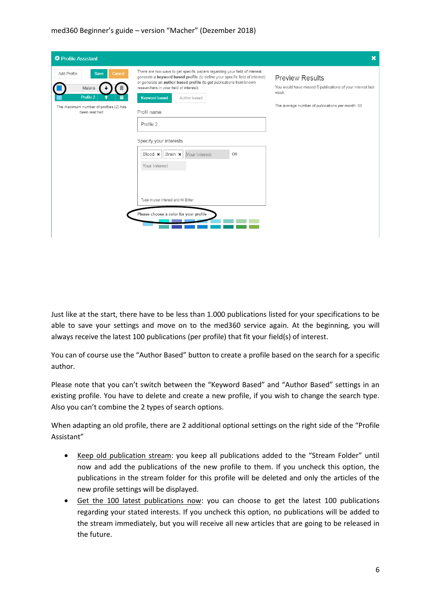| <b>❖</b> Profile Assistant                                                                                      |                                                                                                                                                                                                                                                                                                                                                                                                                                                                                                                                       | $\mathbf x$                                                                                                                                       |
|-----------------------------------------------------------------------------------------------------------------|---------------------------------------------------------------------------------------------------------------------------------------------------------------------------------------------------------------------------------------------------------------------------------------------------------------------------------------------------------------------------------------------------------------------------------------------------------------------------------------------------------------------------------------|---------------------------------------------------------------------------------------------------------------------------------------------------|
| Cancel<br>Add Profile<br>Save<br>Malaria<br>Profile 2<br>The maximum number of profiles (2) has<br>been reached | There are two ways to get specific papers regarding your field of interest:<br>generate a keyword based profile (to define your specific field of interest)<br>or generate an author based profile (to get publications from known<br>researchers in your field of interest).<br><b>Keyword based</b><br>Author based<br>Profil name<br>Profile 2<br>Specify your interests<br>Blood $\star$   Brain $\star$<br>Your Interest<br>OR<br>Your Interest<br>Type in your interest and hit Enter<br>Please choose a color for your profile | <b>Preview Results</b><br>You would have missed 0 publications of your interest last<br>week.<br>The average number of publications per month: 88 |

Just like at the start, there have to be less than 1.000 publications listed for your specifications to be able to save your settings and move on to the med360 service again. At the beginning, you will always receive the latest 100 publications (per profile) that fit your field(s) of interest.

You can of course use the "Author Based" button to create a profile based on the search for a specific author.

Please note that you can't switch between the "Keyword Based" and "Author Based" settings in an existing profile. You have to delete and create a new profile, if you wish to change the search type. Also you can't combine the 2 types of search options.

When adapting an old profile, there are 2 additional optional settings on the right side of the "Profile Assistant"

- Keep old publication stream: you keep all publications added to the "Stream Folder" until now and add the publications of the new profile to them. If you uncheck this option, the publications in the stream folder for this profile will be deleted and only the articles of the new profile settings will be displayed.
- Get the 100 latest publications now: you can choose to get the latest 100 publications regarding your stated interests. If you uncheck this option, no publications will be added to the stream immediately, but you will receive all new articles that are going to be released in the future.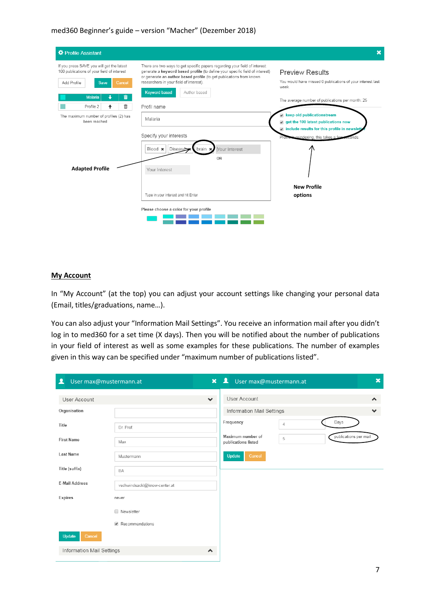#### med360 Beginner's guide – version "Macher" (Dezember 2018)

| <b>☆</b> Profile Assistant                                                                                                                                                          |                                                                                                                                                                                                                                                                                                                                      | $\mathbf x$                                                                                                                                                                                              |
|-------------------------------------------------------------------------------------------------------------------------------------------------------------------------------------|--------------------------------------------------------------------------------------------------------------------------------------------------------------------------------------------------------------------------------------------------------------------------------------------------------------------------------------|----------------------------------------------------------------------------------------------------------------------------------------------------------------------------------------------------------|
| If you press SAVE you will get the latest<br>100 publications of your field of interest<br>Add Profile<br>Cancel<br><b>Save</b><br>â.<br><b>Malaria</b><br>÷<br>⋒<br>Profile 2<br>٠ | There are two ways to get specific papers regarding your field of interest:<br>generate a keyword based profile (to define your specific field of interest)<br>or generate an author based profile (to get publications from known<br>researchers in your field of interest).<br><b>Keyword based</b><br>Author based<br>Profil name | <b>Preview Results</b><br>You would have missed 0 publications of your interest last<br>week.<br>The average number of publications per month: 25                                                        |
| The maximum number of profiles (2) has<br>been reached                                                                                                                              | Malaria<br>Specify your interests<br>Your Interest<br>Blood *<br>Disease<br>brain<br>OR                                                                                                                                                                                                                                              | keep old publicationstream<br>✔<br>get the 100 latest publications now<br>$\overline{\mathcal{L}}$<br>$\sqrt{ }$ include results for this profile in newslett<br>is reindexing, this takes a few<br>Pron |
| <b>Adapted Profile</b>                                                                                                                                                              | Your Interest<br>Type in your interest and hit Enter<br>Please choose a color for your profile                                                                                                                                                                                                                                       | <b>New Profile</b><br>options                                                                                                                                                                            |

#### **My Account**

In "My Account" (at the top) you can adjust your account settings like changing your personal data (Email, titles/graduations, name…).

You can also adjust your "Information Mail Settings". You receive an information mail after you didn't log in to med360 for a set time (X days). Then you will be notified about the number of publications in your field of interest as well as some examples for these publications. The number of examples given in this way can be specified under "maximum number of publications listed".

| ዹ<br>User max@mustermann.at                           | $\overline{\mathbf{A}}$<br>$\mathbf{x}$<br>User max@mustermann.at | $\boldsymbol{\mathsf{x}}$ |
|-------------------------------------------------------|-------------------------------------------------------------------|---------------------------|
| User Account                                          | User Account<br>$\checkmark$                                      | $\blacktriangle$          |
| Organisation                                          | Information Mail Settings                                         | $\checkmark$              |
| Title<br>Dr. Prof.                                    | Days<br>Frequency<br>$\overline{4}$                               |                           |
| <b>First Name</b><br>Max                              | Maximum number of<br>5<br>publications listed                     | publications per mail     |
| <b>Last Name</b><br>Mustermann                        | Cancel<br>Update                                                  |                           |
| Title (suffix)<br>BA                                  |                                                                   |                           |
| <b>E-Mail Address</b><br>vschwindsackl@know-center.at |                                                                   |                           |
| Expires<br>never                                      |                                                                   |                           |
| Newsletter                                            |                                                                   |                           |
| Recommendations                                       |                                                                   |                           |
| <b>Update</b><br>Cancel                               |                                                                   |                           |
| Information Mail Settings                             | $\blacktriangle$                                                  |                           |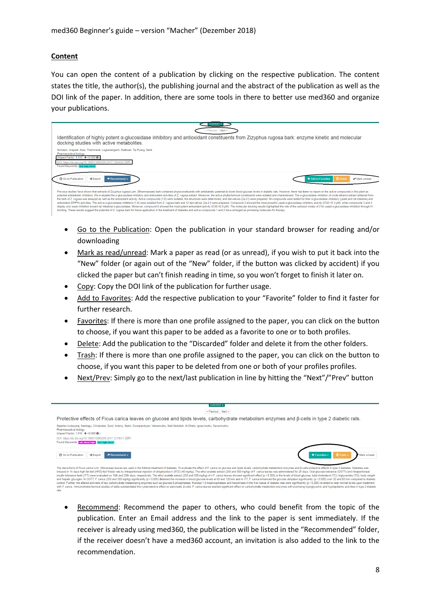#### **Content**

You can open the content of a publication by clicking on the respective publication. The content states the title, the author(s), the publishing journal and the abstract of the publication as well as the DOI link of the paper. In addition, there are some tools in there to better use med360 and organize your publications.

| <b>CONTENT v</b>                                                                                                                                                                                                                                                                                                                                                                                                                                                                                                                                                                                                                                                                                                                                                                                                                                                                                                                                                                                                                                                                                                                                                                                                                                                                                                                                                          |
|---------------------------------------------------------------------------------------------------------------------------------------------------------------------------------------------------------------------------------------------------------------------------------------------------------------------------------------------------------------------------------------------------------------------------------------------------------------------------------------------------------------------------------------------------------------------------------------------------------------------------------------------------------------------------------------------------------------------------------------------------------------------------------------------------------------------------------------------------------------------------------------------------------------------------------------------------------------------------------------------------------------------------------------------------------------------------------------------------------------------------------------------------------------------------------------------------------------------------------------------------------------------------------------------------------------------------------------------------------------------------|
| < Previous                                                                                                                                                                                                                                                                                                                                                                                                                                                                                                                                                                                                                                                                                                                                                                                                                                                                                                                                                                                                                                                                                                                                                                                                                                                                                                                                                                |
| Identification of highly potent α-glucosidase inhibitory and antioxidant constituents from Zizyphus rugosa bark: enzyme kinetic and molecular<br>docking studies with active metabolites.                                                                                                                                                                                                                                                                                                                                                                                                                                                                                                                                                                                                                                                                                                                                                                                                                                                                                                                                                                                                                                                                                                                                                                                 |
| Sichaem, Jirapast, Aree, Thammarat, Lugsanangarm, Kiattisak, Tip-Pyang, Santi<br>Pharmaceutical biology<br>(Impact Factor: 1.916 ↑+0.000 +)<br>DOI: https://dx.doi.org/10.1080/13880209.2017.1304426 corv<br>Found Keywords: test, high, blood                                                                                                                                                                                                                                                                                                                                                                                                                                                                                                                                                                                                                                                                                                                                                                                                                                                                                                                                                                                                                                                                                                                            |
| Go to Publication<br>Recommend -<br>← Export<br><b>m</b> Delete<br>* Add to Favorites<br>Mark unread                                                                                                                                                                                                                                                                                                                                                                                                                                                                                                                                                                                                                                                                                                                                                                                                                                                                                                                                                                                                                                                                                                                                                                                                                                                                      |
| Previous studies have shown that extracts of Zizyphus rugosa Lam. (Rhamnaceae) bark contained phytoconstituents with antidiabetic potential to lower blood glucose levels in diabetic rats. However, there has been no report<br>potential antidiabetic inhibitors. We evaluated the α-glucosidase inhibitory and antioxidant activities of Z. rugosa extract. Moreover, the active phytochemical constituents were isolated and characterized. The α-glucosida<br>the bark of Z. rugosa was assayed as well as the antioxidant activity. Active compounds (1-6) were isolated, the structures were determined, and derivatives (2a-21) were prepared. All compounds were tested for their a-gluc<br>antioxidant (DPPH) activities. The active q-glucosidase inhibitors (1-6) were isolated from Z. rugosa bark and 12 derivatives (2a-2)) were prepared. Compound 2 showed the most powerful yeast o-glucosidase inhibitory activi<br>display only weak inhibition toward rat intestinal a-glucosidase. Moreover, compound 6 showed the most potent antioxidant activity (IC50 42.8 µM). The molecular docking results highlighted the role of the carboxyl moiety o<br>bonding. These results suggest the potential of Z, rugosa bark for future application in the treatment of diabetes and active compounds 1 and 2 have emerged as promising molecules for therapy. |

- Go to the Publication: Open the publication in your standard browser for reading and/or downloading
- Mark as read/unread: Mark a paper as read (or as unread), if you wish to put it back into the "New" folder (or again out of the "New" folder, if the button was clicked by accident) if you clicked the paper but can't finish reading in time, so you won't forget to finish it later on.
- Copy: Copy the DOI link of the publication for further usage.
- Add to Favorites: Add the respective publication to your "Favorite" folder to find it faster for further research.
- Favorites: If there is more than one profile assigned to the paper, you can click on the button to choose, if you want this paper to be added as a favorite to one or to both profiles.
- Delete: Add the publication to the "Discarded" folder and delete it from the other folders.
- Trash: If there is more than one profile assigned to the paper, you can click on the button to choose, if you want this paper to be deleted from one or both of your profiles profiles.
- Next/Prev: Simply go to the next/last publication in line by hitting the "Next"/"Prev" button

| <b>CONTENT v</b>                                                                                                                                                                                                                                                                                                                                                                                                                                                                                                                                                                                                                                                                                                                                                                                                                                                                                                                                                                                                                                                                                                                                                                                                                                                                                                                                                                                                 |
|------------------------------------------------------------------------------------------------------------------------------------------------------------------------------------------------------------------------------------------------------------------------------------------------------------------------------------------------------------------------------------------------------------------------------------------------------------------------------------------------------------------------------------------------------------------------------------------------------------------------------------------------------------------------------------------------------------------------------------------------------------------------------------------------------------------------------------------------------------------------------------------------------------------------------------------------------------------------------------------------------------------------------------------------------------------------------------------------------------------------------------------------------------------------------------------------------------------------------------------------------------------------------------------------------------------------------------------------------------------------------------------------------------------|
| <previous next=""></previous>                                                                                                                                                                                                                                                                                                                                                                                                                                                                                                                                                                                                                                                                                                                                                                                                                                                                                                                                                                                                                                                                                                                                                                                                                                                                                                                                                                                    |
| Protective effects of Ficus carica leaves on glucose and lipids levels, carbohydrate metabolism enzymes and $\beta$ -cells in type 2 diabetic rats.                                                                                                                                                                                                                                                                                                                                                                                                                                                                                                                                                                                                                                                                                                                                                                                                                                                                                                                                                                                                                                                                                                                                                                                                                                                              |
| Stephen Irudayaraj, Santiagu, Christudas, Sunil, Antony, Stalin, Duraipandiyan, Veeramuthu, Naif Abdullah, Al-Dhabi, Ignacimuthu, Savarimuthu<br>Pharmaceutical biology<br>(Impact Factor: 1.916 ↑+0.000 +)                                                                                                                                                                                                                                                                                                                                                                                                                                                                                                                                                                                                                                                                                                                                                                                                                                                                                                                                                                                                                                                                                                                                                                                                      |
| DOI: https://dx.doi.org/10.1080/13880209.2017.1279671 corv<br>Found Keywords: cell, blood, high test, high, blood                                                                                                                                                                                                                                                                                                                                                                                                                                                                                                                                                                                                                                                                                                                                                                                                                                                                                                                                                                                                                                                                                                                                                                                                                                                                                                |
| <b>B</b> Go to Publication<br>* Favorites -<br><export<br><math>\rightarrow</math> Recommend <math>\sim</math><br/>Mark unread</export<br>                                                                                                                                                                                                                                                                                                                                                                                                                                                                                                                                                                                                                                                                                                                                                                                                                                                                                                                                                                                                                                                                                                                                                                                                                                                                       |
| The decoctions of Ficus carica Linn. (Moraceae) leaves are used in the folklore treatment of diabetes. To evaluate the effect of F, carica on glucose and lipids levels, carbohydrate metabolism enzymes and B-cells protectiv<br>induced in 15 days high-fat diet (HFD)-fed Wistar rats by intraperitoneal injection of streptozotocin (STZ) (40 mg/kg). The ethyl acetate extract (250 and 500 mg/kg) of F. carica leaves was administered for 28 days. Oral g<br>insulin tolerance tests (ITT) were evaluated on 15th and 25th days, respectively. The ethyl acetate extract (250 and 500 mg/kg) of n F. carica leaves showed significant effect (p < 0.005) in the levels of blood glucose, to<br>and hepatic glycogen. In OGTT, F, carica (250 and 500 mg/kg) significantly (p<0.005) detained the increase in blood glucose levels at 60 and 120 min and in ITT, F, carica enhanced the ducose utilization significantly (p <<br>control. Further, the altered activities of key carbohydrate metabolizing enzymes such as glucose-6-phosphatase, fructose-1,6-bisphosphatase and hexokinase in the liver tissue of diabetic rats were significantly (p < 0.005<br>with F. carica. Immumohistochemical studies of islets substantiated the cytoprotective effect on pancreatic B-cells. F. carica leaves exerted significant effect on carbohydrate metabolism enzymes with promising hypoglycemi<br>rats. |

 Recommend: Recommend the paper to others, who could benefit from the topic of the publication. Enter an Email address and the link to the paper is sent immediately. If the receiver is already using med360, the publication will be listed in the "Recommended" folder, if the receiver doesn't have a med360 account, an invitation is also added to the link to the recommendation.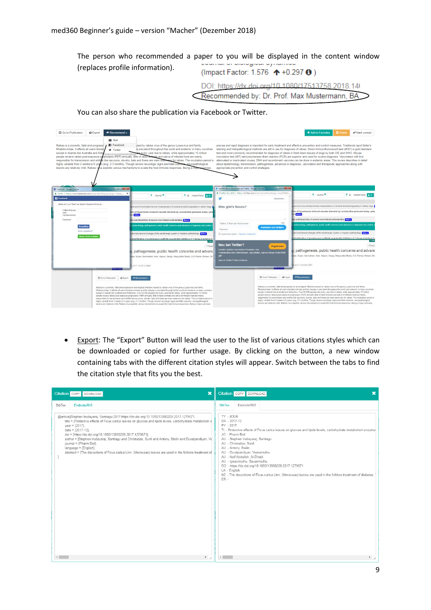The person who recommended a paper to you will be displayed in the content window (replaces profile information). (Impact Factor: 1.576 ↑+0.297 ↑)

DOI: https://dx.doi.org/10.1080/17513758.2018.14

Recommended by: Dr. Prof. Max Mustermann, BA

■ Go to Publication ● Export → Recom ete **V** Mark unread  $\blacktriangleright$  Mail ies is a zor otic, fatal and p **E** Face and co al rapid Seller's Nables is a zoonome, ratar and pro<br>Rhabdoviridae. It affects all warm-<br>except in Islands like Australia and<br>people receive rabies post-exposu weise aux napu aus yn amban is mei de art fan de ferfoar fan de ferfoar fan de ferfoar fan de ferfoar fan de de<br>Italianj and histopathological methods are still in use for diagnosis of rabise. Direct immundluoroscent test  $\bullet$  Twitter axis (PFP) an about epi ..........<br>pav. trans nwww<br>pathog sis advan ild. Ra appropriate preve on and control strategies 7  $\overline{r}$  a **T** Journal **Y** & Impact Factor AM  $\mathbf{v}$ Was gibt's Neues? ntial inhibitors of 1-deoxy-d-xy pathogenesis, public health concerns and advand pathogenesis, public health concerns and adva tion O Export → Re **G** Go to 

You can also share the publication via Facebook or Twitter.

 Export: The "Export" Button will lead the user to the list of various citations styles which can be downloaded or copied for further usage. By clicking on the button, a new window containing tabs with the different citation styles will appear. Switch between the tabs to find the citation style that fits you the best.

| $\boldsymbol{\mathsf{x}}$<br>Citation COPY DOWNLOAD                                                                                                                                                                                                                                                                                                                                                                                                                                                                                                                                                                                             | Citation COPY DOWNLOAD<br>$\mathbf x$                                                                                                                                                                                                                                                                                                                                                                                                                                                                                                                                                                                 |
|-------------------------------------------------------------------------------------------------------------------------------------------------------------------------------------------------------------------------------------------------------------------------------------------------------------------------------------------------------------------------------------------------------------------------------------------------------------------------------------------------------------------------------------------------------------------------------------------------------------------------------------------------|-----------------------------------------------------------------------------------------------------------------------------------------------------------------------------------------------------------------------------------------------------------------------------------------------------------------------------------------------------------------------------------------------------------------------------------------------------------------------------------------------------------------------------------------------------------------------------------------------------------------------|
| Endnote/RIS<br>BibTex<br>@article{Stephen Irudayaraj, Santiagu:2017:https://dx.doi.org/10.1080/13880209.2017.1279671,<br>title = {Protective effects of Ficus carica leaves on glucose and lipids levels, carbohydrate metabolism e<br>year = ${2017}$ ,<br>date = ${2017-12}$ .<br>doi = {https://dx.doi.org/10.1080/13880209.2017.1279671},<br>author = {Stephen Irudayaraj, Santiagu and Christudas, Sunil and Antony, Stalin and Duraipandiyan, Ve<br>journal = {Pharm Biol},<br>language = {English},<br>abstract = {The decoctions of Ficus carica Linn. (Moraceae) leaves are used in the folklore treatment of<br>$\blacktriangleright$ | Endnote/RIS<br><b>BibTex</b><br>TY - JOUR<br>DA - 2017-12<br>PY - 2017<br>TI - Protective effects of Ficus carica leaves on glucose and lipids levels, carbohydrate metabolism enzyme<br>JO - Pharm Biol<br>AU - Stephen Irudayaraj, Santiagu<br>AU - Christudas, Sunil<br>AU - Antony, Stalin<br>AU - Duraipandiyan, Veeramuthu<br>AU - Naif Abdullah, Al-Dhabi<br>AU - Ignacimuthu, Savarimuthu<br>DO - https://dx.doi.org/10.1080/13880209.2017.1279671<br>LA - English<br>N2 - The decoctions of Ficus carica Linn. (Moraceae) leaves are used in the folklore treatment of diabetes.<br>$ER -$<br>$\mathbf{F}$ / |
|                                                                                                                                                                                                                                                                                                                                                                                                                                                                                                                                                                                                                                                 |                                                                                                                                                                                                                                                                                                                                                                                                                                                                                                                                                                                                                       |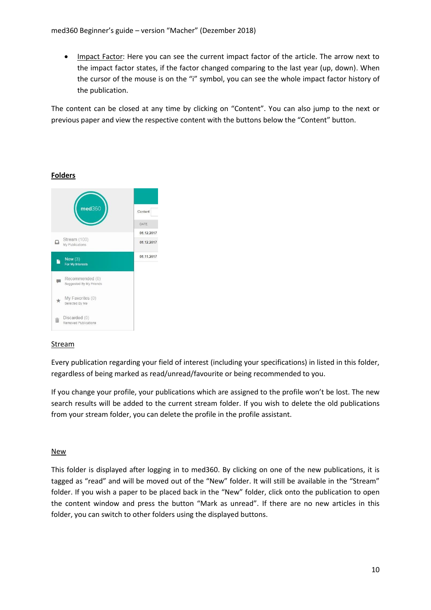• Impact Factor: Here you can see the current impact factor of the article. The arrow next to the impact factor states, if the factor changed comparing to the last year (up, down). When the cursor of the mouse is on the "i" symbol, you can see the whole impact factor history of the publication.

The content can be closed at any time by clicking on "Content". You can also jump to the next or previous paper and view the respective content with the buttons below the "Content" button.

### **Folders**



### **Stream**

Every publication regarding your field of interest (including your specifications) in listed in this folder, regardless of being marked as read/unread/favourite or being recommended to you.

If you change your profile, your publications which are assigned to the profile won't be lost. The new search results will be added to the current stream folder. If you wish to delete the old publications from your stream folder, you can delete the profile in the profile assistant.

#### New

This folder is displayed after logging in to med360. By clicking on one of the new publications, it is tagged as "read" and will be moved out of the "New" folder. It will still be available in the "Stream" folder. If you wish a paper to be placed back in the "New" folder, click onto the publication to open the content window and press the button "Mark as unread". If there are no new articles in this folder, you can switch to other folders using the displayed buttons.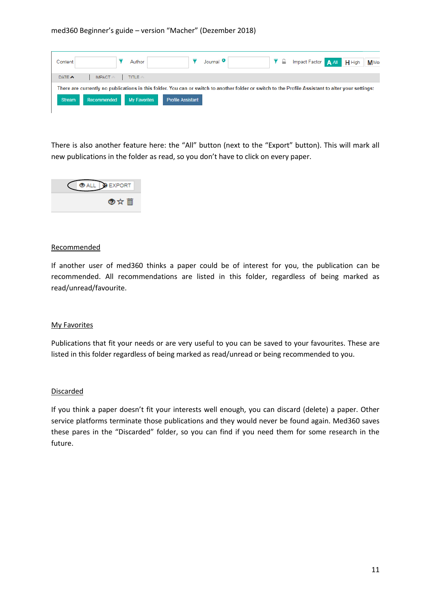| Content                 | Author       | Journal <sup>O</sup>                                                                                                                               | T & Impact Factor A All H High MMer |
|-------------------------|--------------|----------------------------------------------------------------------------------------------------------------------------------------------------|-------------------------------------|
| DATE A<br><b>IMPACT</b> | TITLE A      |                                                                                                                                                    |                                     |
|                         |              | There are currently no publications in this folder. You can or switch to another folder or switch to the Profile Assistant to alter your settings: |                                     |
| Recommended<br>Stream   | My Favorites | <b>Profile Assistant</b>                                                                                                                           |                                     |
|                         |              |                                                                                                                                                    |                                     |

There is also another feature here: the "All" button (next to the "Export" button). This will mark all new publications in the folder as read, so you don't have to click on every paper.



#### Recommended

If another user of med360 thinks a paper could be of interest for you, the publication can be recommended. All recommendations are listed in this folder, regardless of being marked as read/unread/favourite.

#### My Favorites

Publications that fit your needs or are very useful to you can be saved to your favourites. These are listed in this folder regardless of being marked as read/unread or being recommended to you.

#### **Discarded**

If you think a paper doesn't fit your interests well enough, you can discard (delete) a paper. Other service platforms terminate those publications and they would never be found again. Med360 saves these pares in the "Discarded" folder, so you can find if you need them for some research in the future.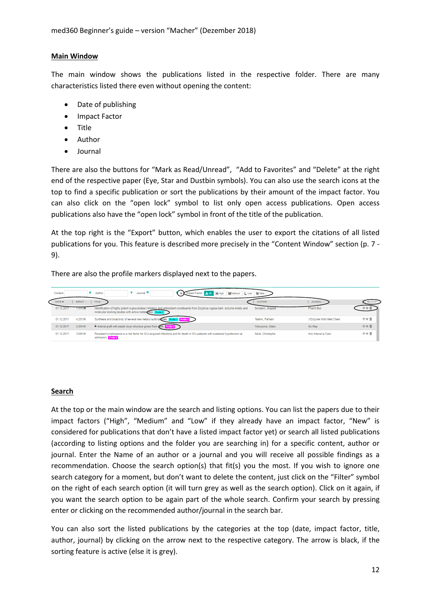#### **Main Window**

The main window shows the publications listed in the respective folder. There are many characteristics listed there even without opening the content:

- Date of publishing
- Impact Factor
- Title
- Author
- Journal

There are also the buttons for "Mark as Read/Unread", "Add to Favorites" and "Delete" at the right end of the respective paper (Eye, Star and Dustbin symbols). You can also use the search icons at the top to find a specific publication or sort the publications by their amount of the impact factor. You can also click on the "open lock" symbol to list only open access publications. Open access publications also have the "open lock" symbol in front of the title of the publication.

At the top right is the "Export" button, which enables the user to export the citations of all listed publications for you. This feature is described more precisely in the "Content Window" section (p. 7 - 9).

There are also the profile markers displayed next to the papers.

| Content    |               | Journal <sup>O</sup><br>Author<br><b>M</b> Medium<br>L Low<br>H High                                                                                                                              | N New             |                         |               |
|------------|---------------|---------------------------------------------------------------------------------------------------------------------------------------------------------------------------------------------------|-------------------|-------------------------|---------------|
| DATE A     | <b>IMPACT</b> | TITLE:                                                                                                                                                                                            | <b>AUTHOR</b>     | <b>JOURNAL</b>          | <b>EXPORT</b> |
| 01.12.201  | <b>916 M</b>  | Identification of highly potent a-glucosidase inhibitory and antioxidant constituents from Zizyphus rugosa bark: enzyme kinetic and<br>molecular docking studies with active metabolites. Profile | Sichaem, Jirapast | <b>Pharm Biol</b>       |               |
| 01.12.2017 | 4.293 H       | Synthesis and bioactivity of several new hetaryl sulfonantides.                                                                                                                                   | Taslimi, Parham   | J Enzyme Inhib Med Chem | ◎☆苗           |
| 01.12.2017 | 4.259 H       | Arterial graft with elastic layer structure grown from gells. Protect                                                                                                                             | Yokovama, Utako   | Sci Rep                 | ◎☆首           |
| 01.12.2017 | 3.656 H       | Persistent lymphopenia is a risk factor for ICU-acquired infections and for death in ICU patients with sustained hypotension at<br>admission. Profile 2                                           | Adrie, Christophe | Ann Intensive Care      | ◎☆苗           |

#### **Search**

At the top or the main window are the search and listing options. You can list the papers due to their impact factors ("High", "Medium" and "Low" if they already have an impact factor, "New" is considered for publications that don't have a listed impact factor yet) or search all listed publications (according to listing options and the folder you are searching in) for a specific content, author or journal. Enter the Name of an author or a journal and you will receive all possible findings as a recommendation. Choose the search option(s) that fit(s) you the most. If you wish to ignore one search category for a moment, but don't want to delete the content, just click on the "Filter" symbol on the right of each search option (it will turn grey as well as the search option). Click on it again, if you want the search option to be again part of the whole search. Confirm your search by pressing enter or clicking on the recommended author/journal in the search bar.

You can also sort the listed publications by the categories at the top (date, impact factor, title, author, journal) by clicking on the arrow next to the respective category. The arrow is black, if the sorting feature is active (else it is grey).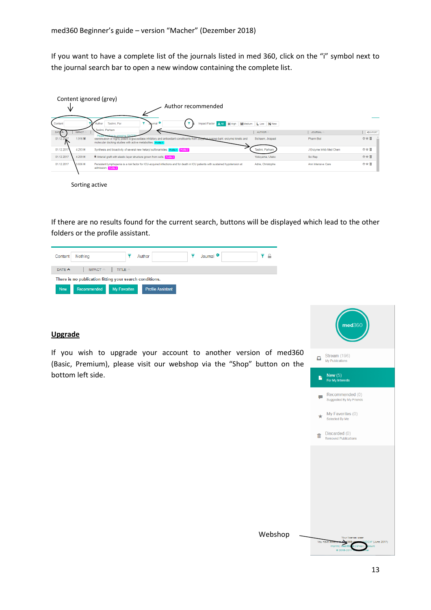If you want to have a complete list of the journals listed in med 360, click on the "i" symbol next to the journal search bar to open a new window containing the complete list.

|                                   |               | Content ignored (grey)                                                                                                                                                                                                   |                     |                         |                                 |
|-----------------------------------|---------------|--------------------------------------------------------------------------------------------------------------------------------------------------------------------------------------------------------------------------|---------------------|-------------------------|---------------------------------|
| ∿                                 |               | Author recommended                                                                                                                                                                                                       |                     |                         |                                 |
| Content                           |               | Jaumal <sup>O</sup><br>Taslimi, Par<br>Impact Factor A All<br>Author<br>H High                                                                                                                                           | MMedium L Low N New |                         |                                 |
| DATE<br>$\boldsymbol{\mathsf{A}}$ | <b>IMPACT</b> | Taslimi, Parham                                                                                                                                                                                                          | <b>AUTHOR</b>       | <b>JOURNAL</b>          | <b><export< b=""></export<></b> |
| 01.12.2017                        | 1.916 M       | m.by pressing "FN<br>identification of highly potent a-glucosidase inhibitory and antioxidant constituents from Zizyphus rugosa bark: enzyme kinetic and<br>molecular docking studies with active metabolites. Profile 1 | Sichaem, Jirapast   | Pharm Biol              | ◎☆苜                             |
| 01.12.2017                        | 4.293 H       | Synthesis and bioactivity of several new hetaryl sulfonamides. Profile 1 Profile 2                                                                                                                                       | Taslimi, Parham     | J Enzyme Inhib Med Chem | ◎☆首                             |
| 01.12.2017                        | 4.259 H       | Arterial graft with elastic layer structure grown from cells. Profile 2                                                                                                                                                  | Yokoyama, Utako     | Sci Rep                 | ◎☆前                             |
| 01.12.2017                        | 3.656 H       | Persistent lymphopenia is a risk factor for ICU-acquired infections and for death in ICU patients with sustained hypotension at<br>admission. Profile 2                                                                  | Adrie, Christophe   | Ann Intensive Care      | ◎☆苗                             |
|                                   |               |                                                                                                                                                                                                                          |                     |                         |                                 |
|                                   |               | Sorting active                                                                                                                                                                                                           |                     |                         |                                 |

If there are no results found for the current search, buttons will be displayed which lead to the other folders or the profile assistant.



#### **Upgrade**

If you wish to upgrade your account to another version of med360 (Basic, Premium), please visit our webshop via the "Shop" button on the bottom left side.

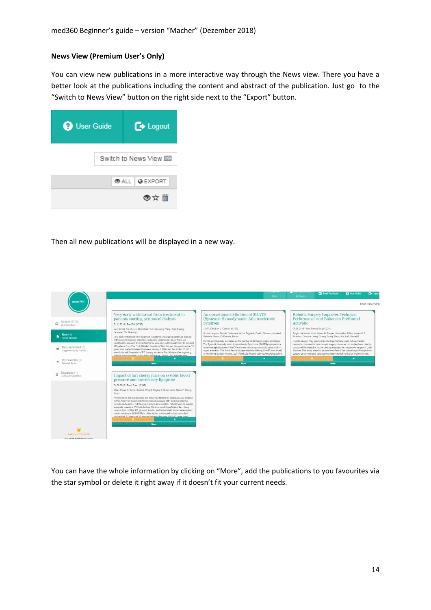#### **News View (Premium User's Only)**

You can view new publications in a more interactive way through the News view. There you have a better look at the publications including the content and abstract of the publication. Just go to the "Switch to News View" button on the right side next to the "Export" button.

| <b>O</b> User Guide      | $\rightarrow$ Logout  |
|--------------------------|-----------------------|
| Switch to News View [95] |                       |
|                          | <b>OALL   @EXPORT</b> |
|                          | ◎☆ 而                  |

Then all new publications will be displayed in a new way.



You can have the whole information by clicking on "More", add the publications to you favourites via the star symbol or delete it right away if it doesn't fit your current needs.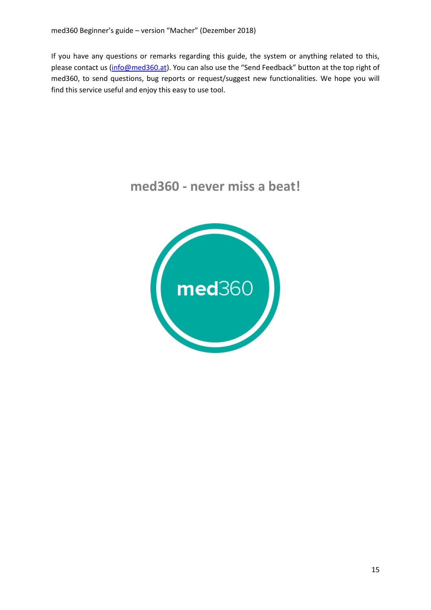If you have any questions or remarks regarding this guide, the system or anything related to this, please contact us [\(info@med360.at\)](mailto:info@med360.at). You can also use the "Send Feedback" button at the top right of med360, to send questions, bug reports or request/suggest new functionalities. We hope you will find this service useful and enjoy this easy to use tool.

## **med360 - never miss a beat!**

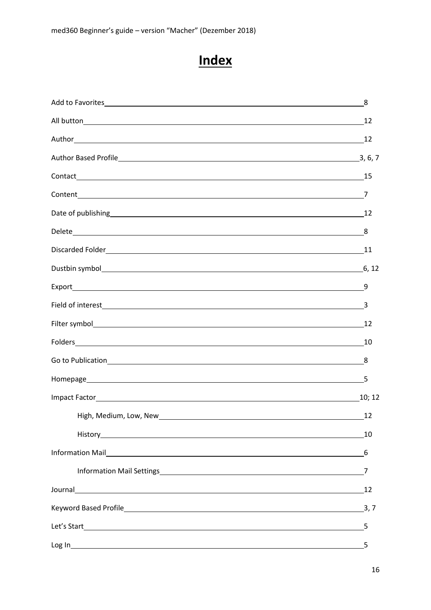# **Index**

|                                                                                                                                                                                                                                      | 8      |
|--------------------------------------------------------------------------------------------------------------------------------------------------------------------------------------------------------------------------------------|--------|
|                                                                                                                                                                                                                                      |        |
|                                                                                                                                                                                                                                      |        |
|                                                                                                                                                                                                                                      |        |
|                                                                                                                                                                                                                                      |        |
|                                                                                                                                                                                                                                      |        |
| Date of publishing 12                                                                                                                                                                                                                |        |
|                                                                                                                                                                                                                                      |        |
|                                                                                                                                                                                                                                      |        |
|                                                                                                                                                                                                                                      |        |
|                                                                                                                                                                                                                                      | 9      |
|                                                                                                                                                                                                                                      | 3      |
|                                                                                                                                                                                                                                      |        |
|                                                                                                                                                                                                                                      | -10    |
|                                                                                                                                                                                                                                      | 8      |
| Homepage <u>Samua and the set of the set of the set of the set of the set of the set of the set of the set of the set of the set of the set of the set of the set of the set of the set of the set of the set of the set of the </u> |        |
|                                                                                                                                                                                                                                      | 10; 12 |
| High, Medium, Low, New 1997 and 1997 and 1997 and 1997 and 1997 and 1997 and 1997 and 1997 and 1997 and 1997 a                                                                                                                       | 12     |
|                                                                                                                                                                                                                                      | 10     |
|                                                                                                                                                                                                                                      | 6      |
|                                                                                                                                                                                                                                      | 7      |
|                                                                                                                                                                                                                                      | 12     |
|                                                                                                                                                                                                                                      | 3, 7   |
|                                                                                                                                                                                                                                      | 5      |
| Log In                                                                                                                                                                                                                               | 5      |